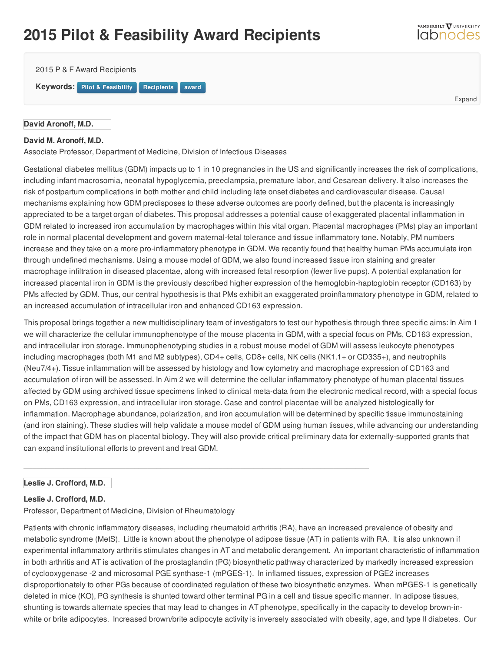# **2015 Pilot & Feasibility Award Recipients**

2015 P & F Award Recipients **Keywords:** Pilot & Feasibility **Recipients** [award](/resource/keywords/keyword_id/4196/id/12652)

#### **David Aronoff, M.D.**

# **David M. Aronoff, M.D.**

Associate Professor, Department of Medicine, Division of [Infectious](https://labnodes.vanderbilt.edu/resource/view/id/3535/collection_id/1067/community_id/58) Diseases

Gestational diabetes mellitus (GDM) impacts up to 1 in 10 [pregnancies](https://labnodes.vanderbilt.edu/resource/view/id/10775/collection_id/1067/community_id/58) in the US and significantly increases the risk of complications, including infant macrosomia, neonatal hypoglycemia, preeclampsia, premature labor, and Cesarean delivery. It also increases the risk of postpartum complications in both mother and child including late onset diabetes and cardiovascular disease. Causal mechanisms explaining how GDM predisposes to these adverse outcomes are poorly defined, but the placenta is increasingly appreciated to be a target organ of diabetes. This proposal addresses a potential cause of exaggerated placental inflammation in GDM related to increased iron accumulation by macrophages within this vital organ. Placental macrophages (PMs) play an important role in normal placental development and govern maternal-fetal tolerance and tissue inflammatory tone. Notably, PM numbers increase and they take on a more pro-inflammatory phenotype in GDM. We recently found that healthy human PMs accumulate iron through undefined mechanisms. Using a mouse model of GDM, we also found increased tissue iron staining and greater macrophage infiltration in diseased placentae, along with increased fetal resorption (fewer live pups). A potential explanation for increased placental iron in GDM is the previously described higher expression of the hemoglobin-haptoglobin receptor (CD163) by PMs affected by GDM. Thus, our central hypothesis is that PMs exhibit an exaggerated proinflammatory phenotype in GDM, related to an increased accumulation of intracellular iron and enhanced CD163 expression.

This proposal brings together a new multidisciplinary team of investigators to test our hypothesis through three specific aims: In Aim 1 we will characterize the cellular immunophenotype of the mouse placenta in GDM, with a special focus on PMs, CD163 expression, and intracellular iron storage. Immunophenotyping studies in a robust mouse model of GDM will assess leukocyte phenotypes including macrophages (both M1 and M2 subtypes), CD4+ cells, CD8+ cells, NK cells (NK1.1+ or CD335+), and neutrophils (Neu7/4+). Tissue inflammation will be assessed by histology and flow cytometry and macrophage expression of CD163 and accumulation of iron will be assessed. In Aim 2 we will determine the cellular inflammatory phenotype of human placental tissues affected by GDM using archived tissue specimens linked to clinical meta-data from the electronic medical record, with a special focus on PMs, CD163 expression, and intracellular iron storage. Case and control placentae will be analyzed histologically for inflammation. Macrophage abundance, polarization, and iron accumulation will be determined by specific tissue immunostaining (and iron staining). These studies will help validate a mouse model of GDM using human tissues, while advancing our understanding of the impact that GDM has on placental biology. They will also provide critical preliminary data for externally-supported grants that can expand institutional efforts to prevent and treat GDM.

\_\_\_\_\_\_\_\_\_\_\_\_\_\_\_\_\_\_\_\_\_\_\_\_\_\_\_\_\_\_\_\_\_\_\_\_\_\_\_\_\_\_\_\_\_\_\_\_\_\_\_\_\_\_\_\_\_\_\_\_\_\_\_\_\_\_\_\_\_\_\_\_\_\_\_\_\_\_

## **Leslie J. Crofford, M.D.**

#### **Leslie J. Crofford, M.D.**

Professor, Department of Medicine, Division of Rheumatology

Patients with chronic inflammatory diseases, including rheumatoid arthritis (RA), have an increased prevalence of obesity and metabolic syndrome (MetS). Little is known about the phenotype of adipose tissue (AT) in patients with RA. It is also unknown if experimental inflammatory arthritis stimulates changes in AT and metabolic derangement. An important characteristic of inflammation in both arthritis and AT is activation of the prostaglandin (PG) biosynthetic pathway characterized by markedly increased expression of cyclooxygenase -2 and microsomal PGE synthase-1 (mPGES-1). In inflamed tissues, expression of PGE2 increases disproportionately to other PGs because of coordinated regulation of these two biosynthetic enzymes. When mPGES-1 is genetically deleted in mice (KO), PG synthesis is shunted toward other terminal PG in a cell and tissue specific manner. In adipose tissues, shunting is towards alternate species that may lead to changes in AT phenotype, specifically in the capacity to develop brown-inwhite or brite adipocytes. Increased brown/brite adipocyte activity is inversely associated with obesity, age, and type II diabetes. Our

Expand